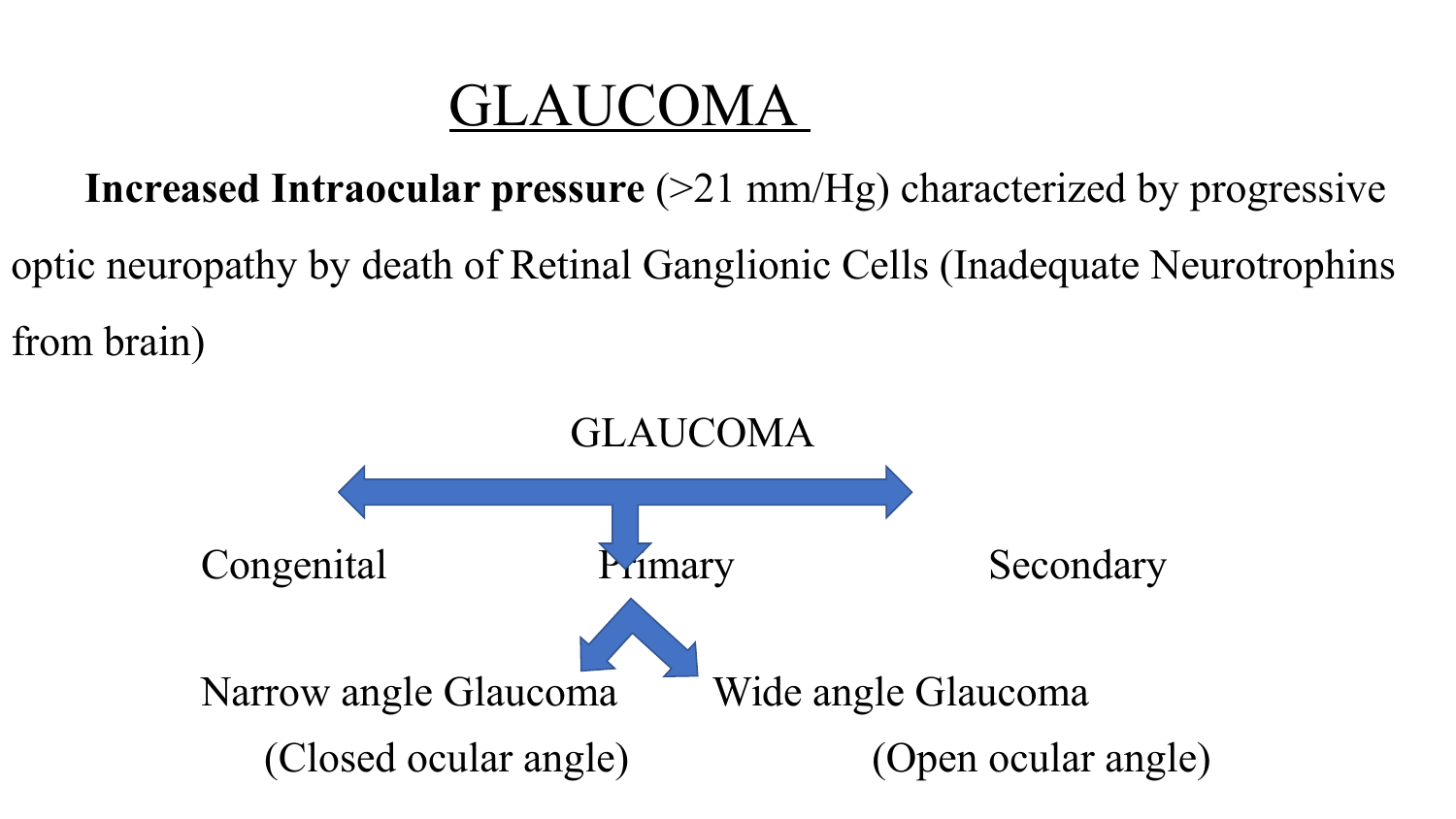### GLAUCOMA

 **Increased Intraocular pressure** (>21 mm/Hg) characterized by progressive

optic neuropathy by death of Retinal Ganglionic Cells (Inadequate Neurotrophins from brain)

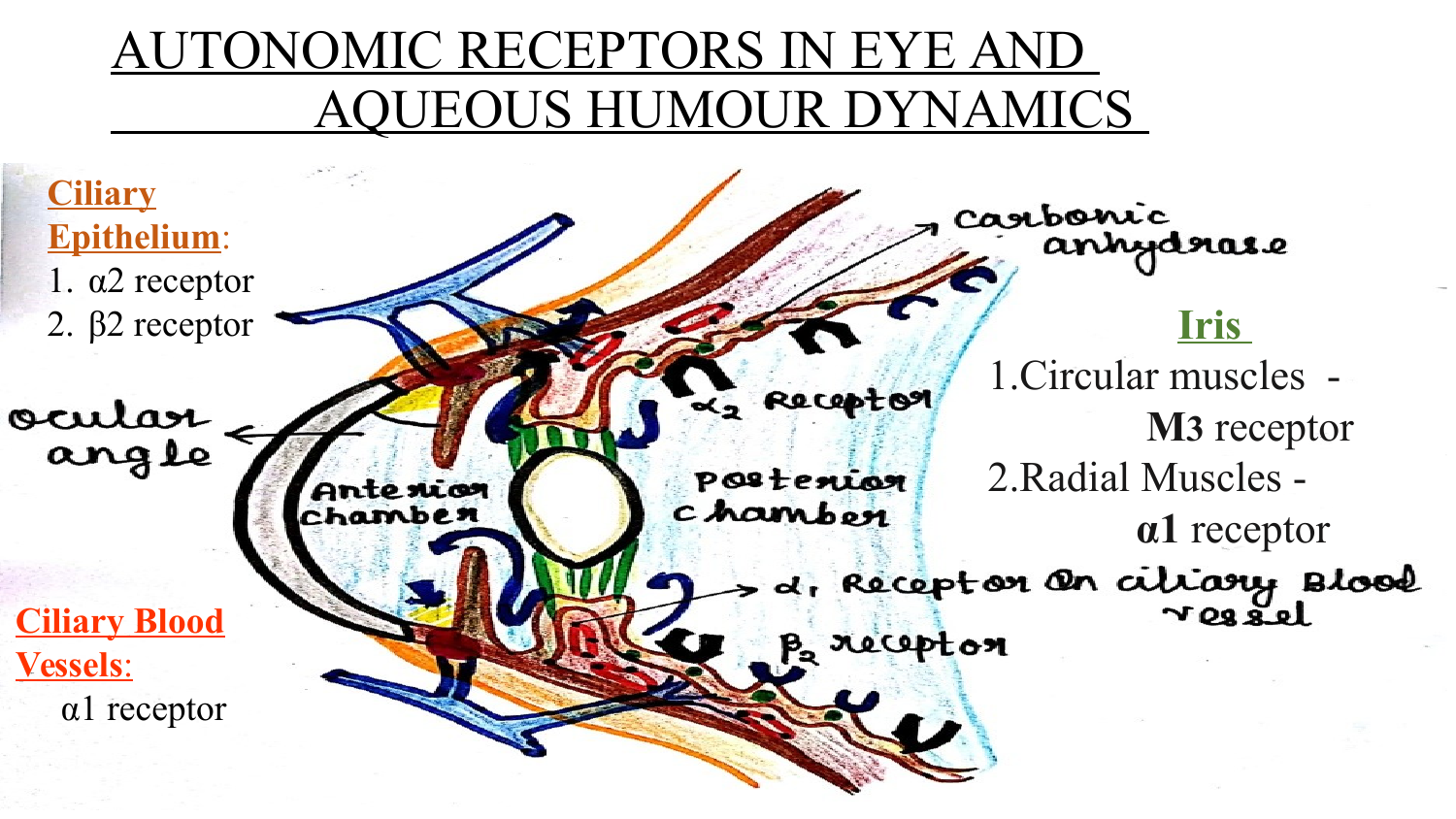#### AUTONOMIC RECEPTORS IN EYE AND QUEOUS HUMOUR DYNAMICS

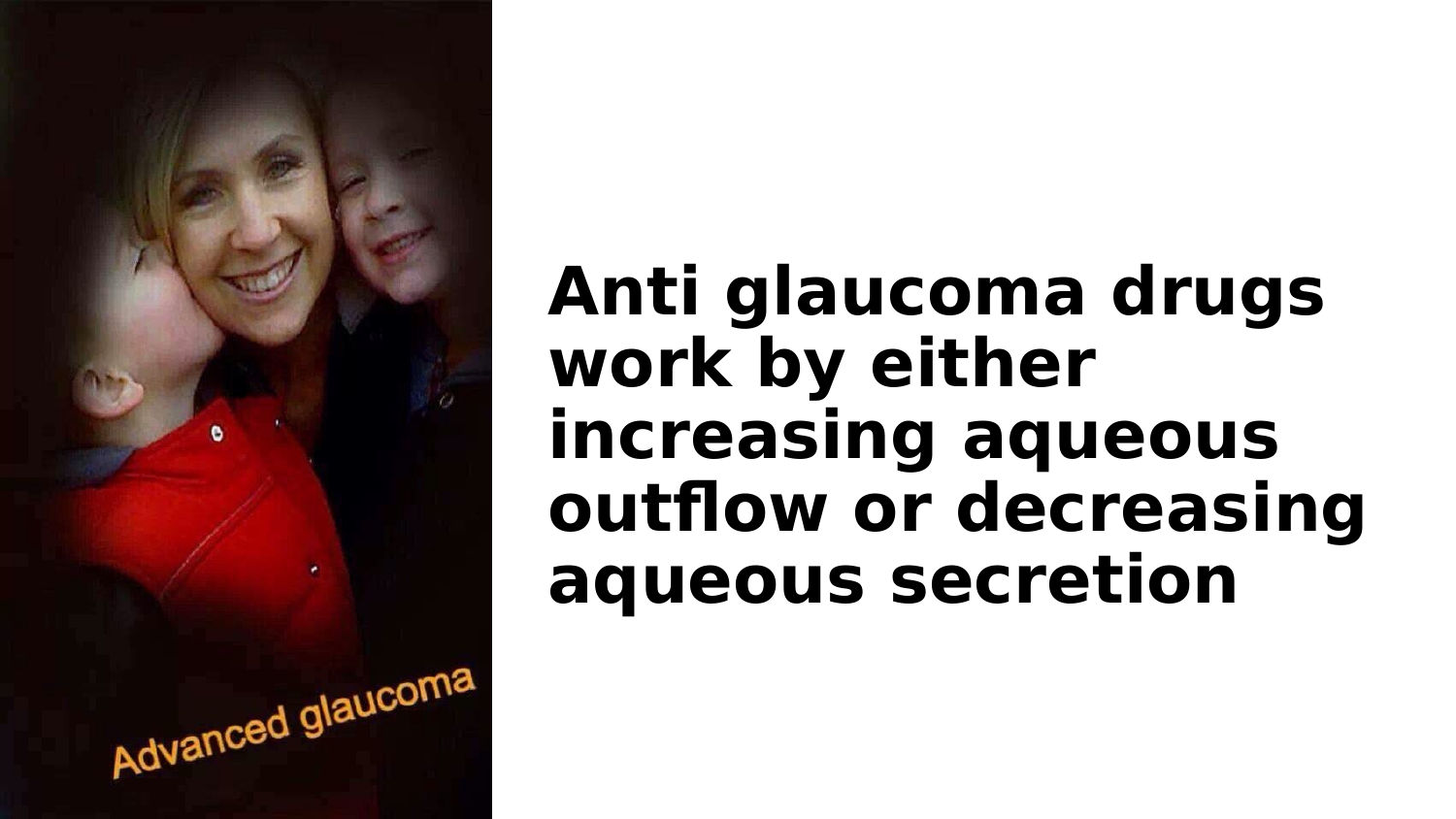

# **Anti glaucoma drugs work by either increasing aqueous outflow or decreasing aqueous secretion**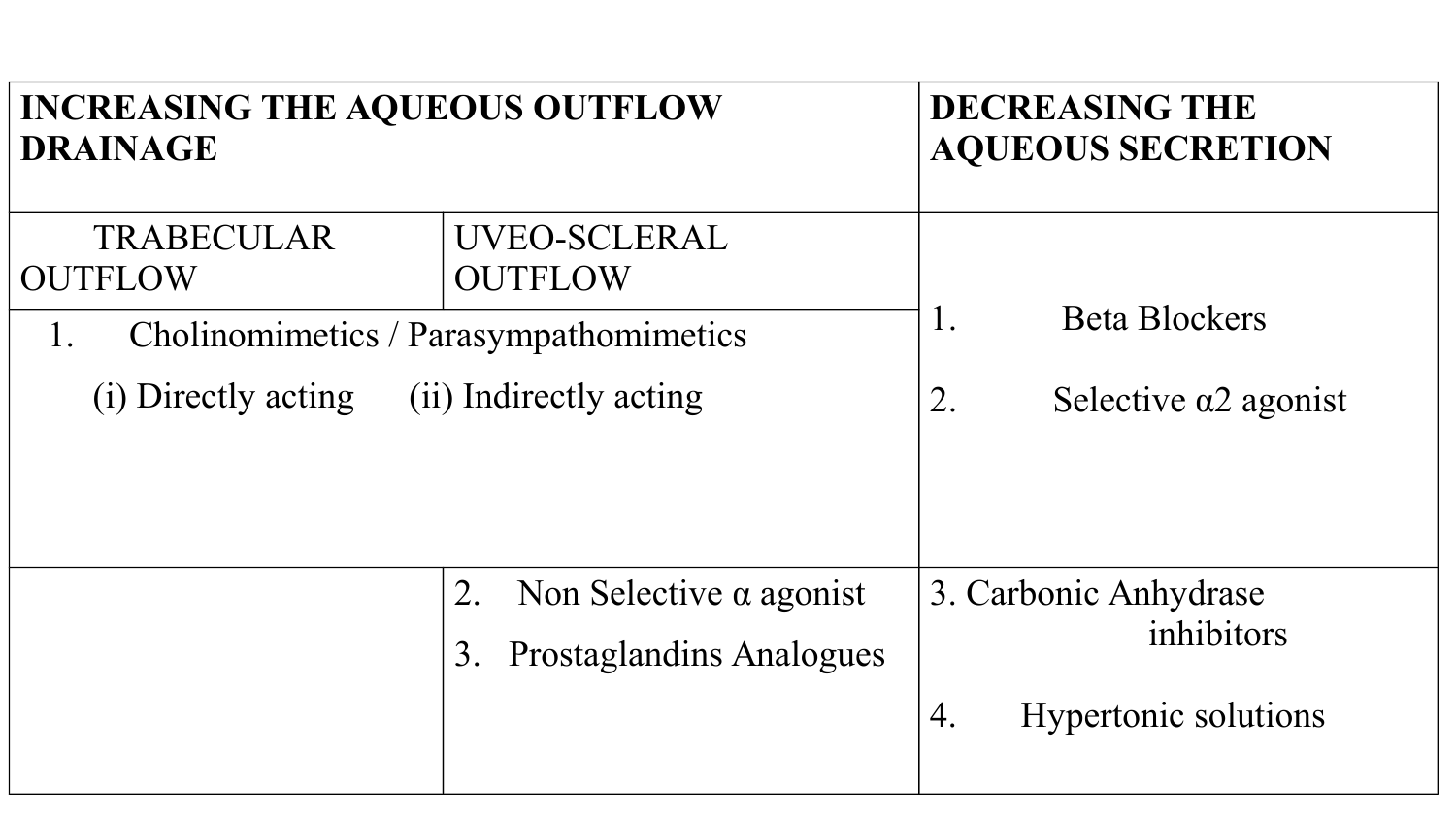| <b>INCREASING THE AQUEOUS OUTFLOW</b>  |                                                                               | <b>DECREASING THE</b>               |
|----------------------------------------|-------------------------------------------------------------------------------|-------------------------------------|
| <b>DRAINAGE</b>                        |                                                                               | <b>AQUEOUS SECRETION</b>            |
| <b>TRABECULAR</b><br><b>OUTFLOW</b>    | UVEO-SCLERAL<br><b>OUTFLOW</b>                                                |                                     |
| Cholinomimetics / Parasympathomimetics |                                                                               | <b>Beta Blockers</b>                |
| 1.                                     |                                                                               | $\perp$ .                           |
| (i) Directly acting                    |                                                                               | 2.                                  |
| (ii) Indirectly acting                 |                                                                               | Selective $\alpha$ 2 agonist        |
|                                        | Non Selective $\alpha$ agonist<br>2.<br><b>Prostaglandins Analogues</b><br>3. | 3. Carbonic Anhydrase<br>inhibitors |
|                                        |                                                                               | <b>Hypertonic solutions</b><br>4.   |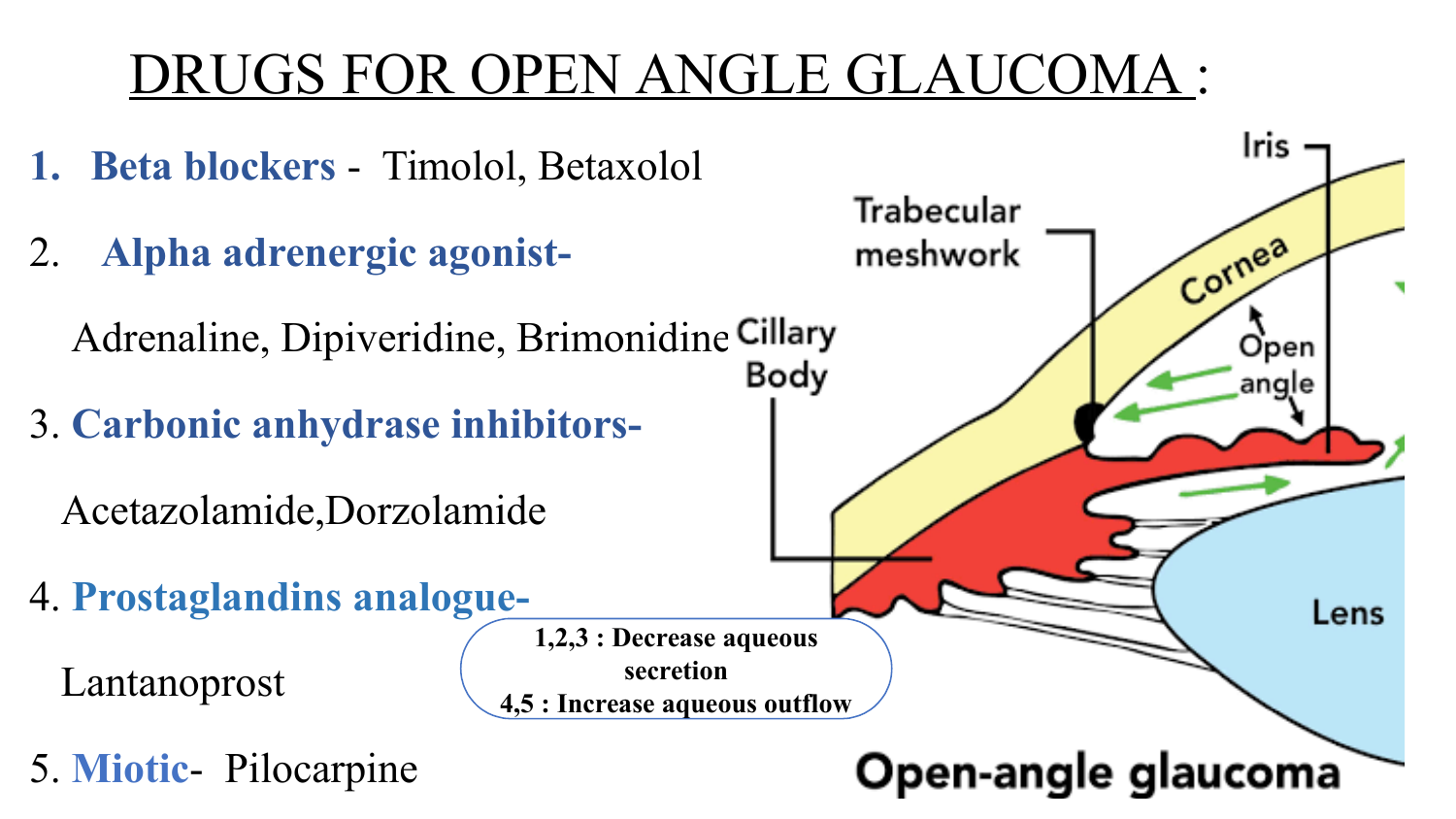## DRUGS FOR OPEN ANGLE GLAUCOMA :